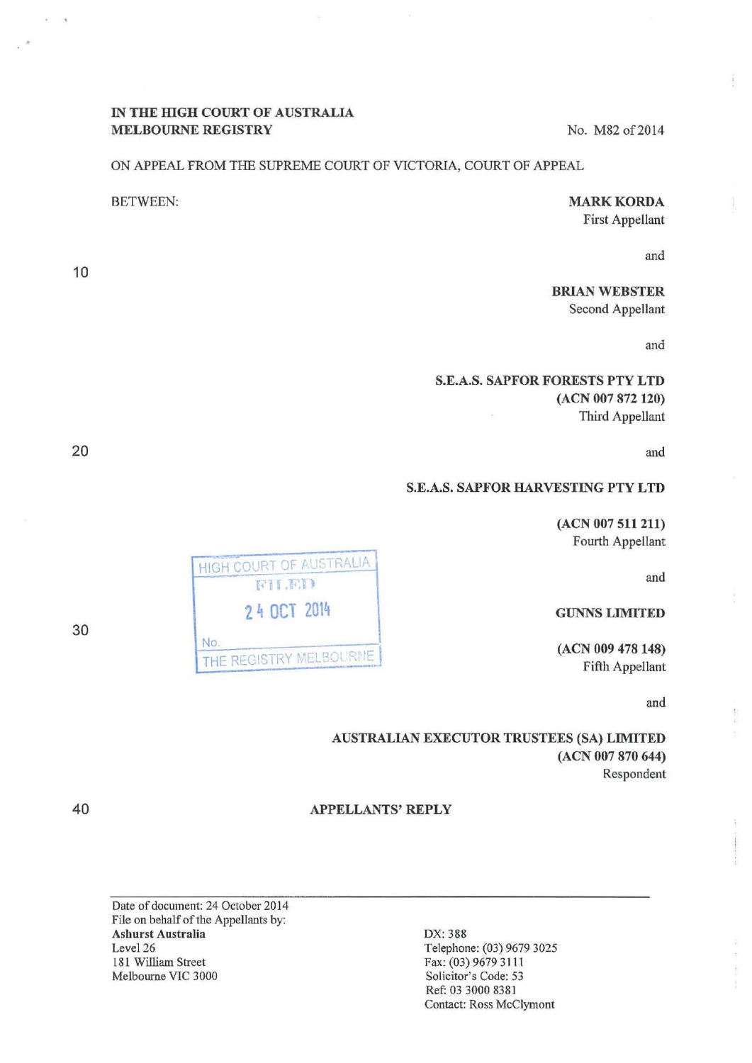## IN THE HIGH COURT OF AUSTRALIA MELBOURNE REGISTRY No. M82 of 2014

### ON APPEAL FROM THE SUPREME COURT OF VICTORIA, COURT OF APPEAL

### MARK KORDA First Appellant

and

BRIAN WEBSTER Second Appellant

and

## S.E.A.S. SAPFOR FORESTS PTY LTD (ACN 007 872 120) Third Appellant

and

# S.E.A.S. SAPFOR HARVESTING PTY LTD

(ACN 007 511 211) Fourth Appellant

and

### GUNNSLIMITED

(ACN 009 478148) Fifth Appellant

and

AUSTRALIAN EXECUTOR TRUSTEES (SA) LIMITED (ACN 007 870 644) Respondent

### APPELLANTS' REPLY

Date of document: 24 October 2014 File on behalf of the Appellants by: Ashurst Australia Level<sub>26</sub> 181 William Street Melbourne VIC 3000

DX: 388 Telephone: (03) 9679 3025 Fax: (03) 9679 3111 Solicitor's Code: 53 Ref: 03 3000 8381 Contact: Ross McClymont

HIGH COURT OF AUSTRALIA **2 4 OCT** <sup>2014</sup>  $NQ$ . THE REGISTRY MELBOURDE

30

40

BETWEEN:

10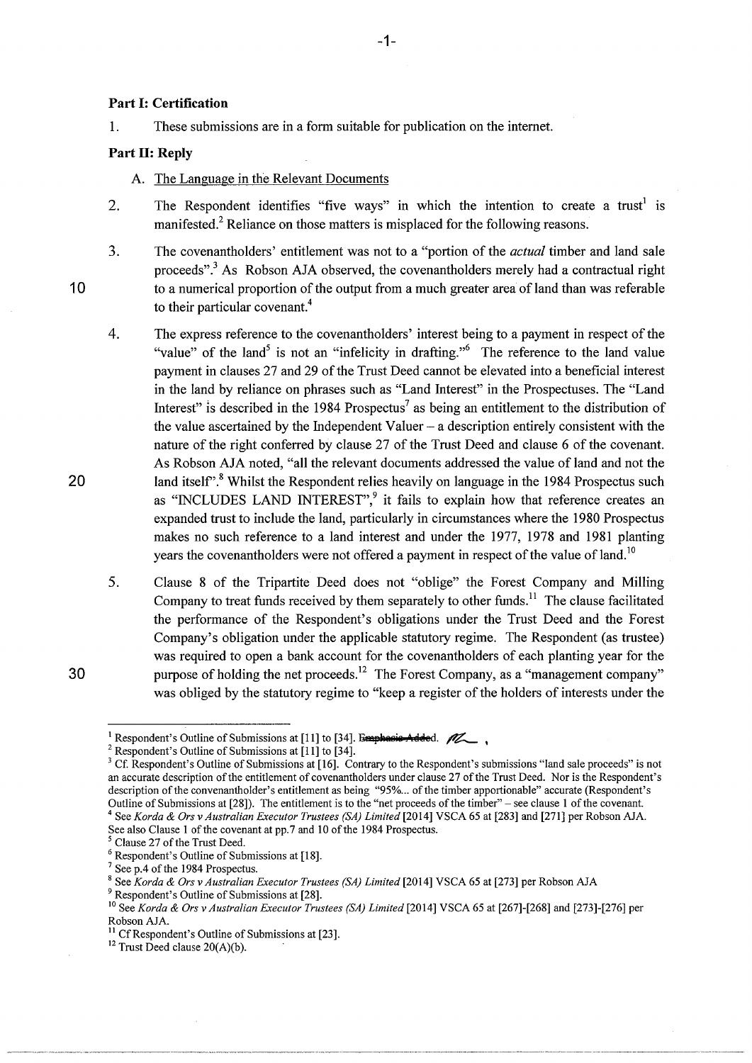#### **Part 1: Certification**

1. These submissions are in a form suitable for publication on the internet.

### Part **II**: Reply

A. The Language in the Relevant Documents

- 2. The Respondent identifies "five ways" in which the intention to create a trust<sup>1</sup> is manifested.<sup>2</sup> Reliance on those matters is misplaced for the following reasons.
- 3. The covenantholders' entitlement was not to a "portion of the *actual* timber and land sale proceeds".3 As Robson AJA observed, the covenantholders merely had a contractual right to a numerical proportion of the output from a much greater area of land than was referable to their particular covenant.<sup>4</sup>
- 4. The express reference to the covenantholders' interest being to a payment in respect of the "value" of the land<sup>5</sup> is not an "infelicity in drafting."<sup>6</sup> The reference to the land value payment in clauses 27 and 29 of the Trust Deed cannot be elevated into a beneficial interest in the land by reliance on phrases such as "Land Interest" in the Prospectuses. The "Land Interest" is described in the 1984 Prospectus<sup>7</sup> as being an entitlement to the distribution of the value ascertained by the Independent Valuer- a description entirely consistent with the nature of the right conferred by clause 27 of the Trust Deed and clause 6 of the covenant. As Robson AJA noted, "all the relevant documents addressed the value of land and not the land itself".<sup>8</sup> Whilst the Respondent relies heavily on language in the 1984 Prospectus such as "INCLUDES LAND INTEREST",<sup>9</sup> it fails to explain how that reference creates an expanded trust to include the land, particularly in circumstances where the 1980 Prospectus makes no such reference to a land interest and under the 1977, 1978 and 1981 planting years the covenantholders were not offered a payment in respect of the value of land.<sup>10</sup>
- 5. Clause 8 of the Tripartite Deed does not "oblige" the Forest Company and Milling Company to treat funds received by them separately to other funds.<sup>11</sup> The clause facilitated the performance of the Respondent's obligations under the Trust Deed and the Forest Company's obligation under the applicable statutory regime. The Respondent (as trustee) was required to open a bank account for the covenantholders of each planting year for the purpose of holding the net proceeds.<sup>12</sup> The Forest Company, as a "management company" was obliged by the statutory regime to "keep a register of the holders of interests under the

30

20

<sup>&</sup>lt;sup>1</sup> Respondent's Outline of Submissions at [11] to [34]. Emphasis Added.  $\mathbb{Z}$ ,<br>
<sup>2</sup> Respondent's Outline of Submissions at [11] to [34].<br>
<sup>3</sup> Cf. Respondent's Outline of Submissions at [16]. Contrary to the Respondent an accurate description of the entitlement of covenantholders under clause 27 of the Trust Deed. Nor is the Respondent's description of the convenantholder's entitlement as being "95%... of the timber apportionable" accurate (Respondent's Outline of Submissions at [28]). The entitlement is to the "net proceeds of the timber" – see clause 1 o See Korda & Ors v Australian Executor Trustees (SA) Limited [2014] VSCA 65 at [283] and [271] per Robson AJA.

See also Clause 1 of the covenant at pp.7 and 10 of the 1984 Prospectus.<br>
<sup>5</sup> Clause 27 of the Trust Deed.<br>
<sup>6</sup> Respondent's Outline of Submissions at [18].<br>
<sup>7</sup> See p.4 of the 1984 Prospectus.<br>
<sup>8</sup> See Korda & Ors v Austr

<sup>&</sup>lt;sup>10</sup> See *Korda & Ors v Australian Executor Trustees (SA) Limited* [2014] VSCA 65 at [267]-[268] and [273]-[276] per Robson AJA.

<sup>&</sup>lt;sup>11</sup> Cf Respondent's Outline of Submissions at [23]. <sup>12</sup> Trust Deed clause 20(A)(b).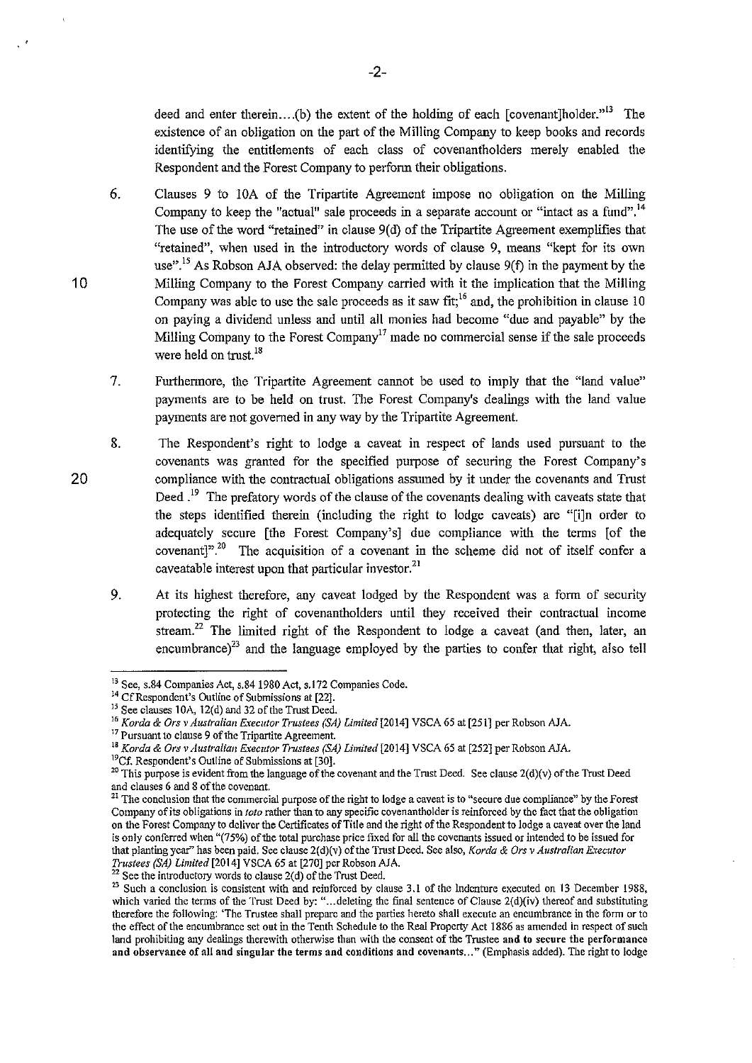deed and enter therein....(b) the extent of the holding of each [covenant]holder.<sup>313</sup> The existence of an obligation on the part of the Milling Company to keep books and records identifying the entitlements of each class of covenantholders merely enabled the Respondent and the Forest Company to perform their obligations.

- 6. Clauses 9 to lOA of the Tripartite Agreement impose no obligation on the Milling Company to keep the "actual" sale proceeds in a separate account or "intact as a fund".<sup>14</sup> The use of the word "retained" in clause  $9(d)$  of the Tripartite Agreement exemplifies that "retained", when used in the introductory words of clause 9, means "kept for its own use".<sup>15</sup> As Robson AJA observed: the delay permitted by clause  $9(f)$  in the payment by the Milling Company to the Forest Company carried with it the implication that the Milling Company was able to use the sale proceeds as it saw  $fit<sub>i</sub><sup>16</sup>$  and, the prohibition in clause 10 on paying a dividend unless and until all monies had become "due and payable" by the Milling Company to the Forest Company<sup>17</sup> made no commercial sense if the sale proceeds were held on trust.<sup>18</sup>
- 7. Furthermore, the Tripartite Agreement cannot be used to imply that the "land value" payments are to be held on trust. The Forest Company's dealings with the land value payments are not governed in any way by the Tripartite Agreement.
- 8. The Respondent's right to lodge a caveat in respect of lands used pursuant to the covenants was granted for the specified purpose of securing the Forest Company's compliance with the contractual obligations assumed by it under the covenants and Trust Deed.<sup>19</sup> The prefatory words of the clause of the covenants dealing with caveats state that the steps identified therein (including the right to lodge caveats) are "[i]n order to adequately secure [the Forest Company's] due compliance with the terms [of the covenant]".<sup>20</sup> The acquisition of a covenant in the scheme did not of itself confer a caveatable interest upon that particular investor.<sup>21</sup>
	- 9. At its highest therefore, any caveat lodged by the Respondent was a form of security protecting the right of covenantholders until they received their contractual income stream.<sup>22</sup> The limited right of the Respondent to lodge a caveat (and then, later, an encumbrance) $^{23}$  and the language employed by the parties to confer that right, also tell

20

<sup>&</sup>lt;sup>13</sup> See, s.84 Companies Act, s.84 1980 Act, s.172 Companies Code.<br><sup>14</sup> Cf Respondent's Outline of Submissions at [22].<br><sup>15</sup> See clauses 10A, 12(d) and 32 of the Trust Deed.

<sup>&</sup>lt;sup>16</sup> *Korda & Ors v Australian Executor Trustees (SA) Limited* [2014] VSCA 65 at [251] per Robson AJA. <sup>17</sup> Pursuant to clause 9 of the Tripartite Agreement.

<sup>&</sup>lt;sup>18</sup> *Korda & Ors v Australian Executor Trustees (SA) Limited* [2014] VSCA 65 at [252] per Robson AJA.<br><sup>19</sup>Cf. Respondent's Outline of Submissions at [30].

<sup>&</sup>lt;sup>20</sup> This purpose is evident from the language of the covenant and the Trust Deed. See clause 2(d)(v) of the Trust Deed and clauses 6 and 8 of the covenant.<br><sup>21</sup> The conclusion that the commercial purpose of the right to lodge a caveat is to "secure due compliance" by the Forest

**Company of** *its* **obligations in** *toto* **rather than to any specific covenantholder is reinforced by the fact that the obligation on the Forest Company to deliver the Certificates of Title and the right of the Respondent to lodge a caveat over the land**  is only conferred when "(75%) of the total purchase price fixed for all the covenants issued or intended to be issued for that planting year" has been paid. See clause 2(d)(v) of the Trust Deed. See also, *Korda & Ors v Australian Executor Trustees (SA) Limited* [2014] VSCA 65 at [270] per Robson AJA.

<sup>&</sup>lt;sup>22</sup> See the introductory words to clause 2(d) of the Trust Deed.

<sup>&</sup>lt;sup>23</sup> Such a conclusion is consistent with and reinforced by clause 3.1 of the Indenture executed on 13 December 1988, which varied the terms of the Trust Deed by: "...deleting the final sentence of Clause 2(d)(iv) thereof and substituting **theretbre the fol1owing: 'The Trustee shall prepare and the parties hereto shall execute an encumbrance in the form or to the effect of the encumbrance set out in the Tenth Schedule to the Real Property Act 1886 as amended in respect of such land prohibiting any dealings therewith otherwise than with the consent of the Trustee and to secure the performance**  and observance of all and singular the terms and conditions and covenants..." (Emphasis added). The right to lodge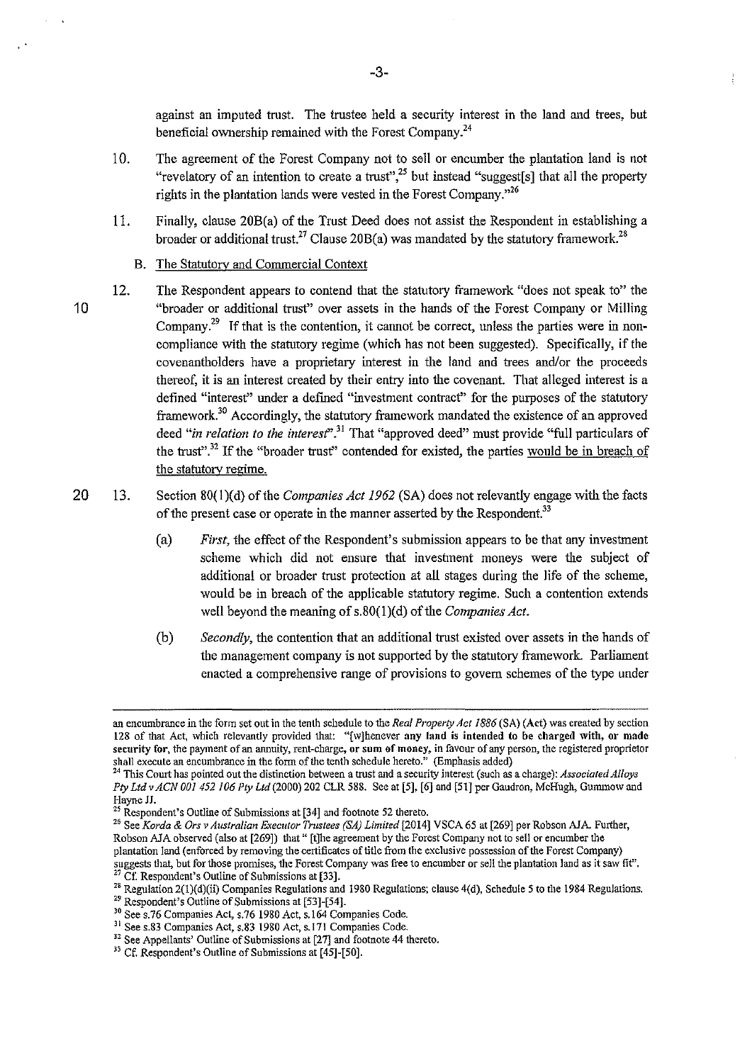against an imputed trust. The trustee held a security interest in the land and trees, but beneficial ownership remained with the Forest Company.<sup>24</sup>

- 10. The agreement of the Forest Company not to sell or encumber the plantation land is not "revelatory of an intention to create a trust",<sup>25</sup> but instead "suggest[s] that all the property rights in the plantation lands were vested in the Forest Company."<sup>26</sup>
- 11. Finally, clause 20B(a) of tbe Trust Deed does not assist tbe Respondent in establishing a broader or additional trust.<sup>27</sup> Clause 20B(a) was mandated by the statutory framework.<sup>28</sup>
	- B. The Statutory and Commercial Context
- 10 12. The Respondent appears to contend that the statutory framework "does not speak to" the "broader or additional trust" over assets in the hands of the Forest Company or Milling Company.<sup>29</sup> If that is the contention, it cannot be correct, unless the parties were in noncompliance with the statutory regime (which has not been suggested). Specifically, if the covenantholders have a proprietury interest in the land and trees and/or the proceeds thereof, it is an interest created by their entry into the covenant. That alleged interest is a defined "interest" under a defined "investment contract" for the purposes of the statutory framework.<sup>30</sup> Accordingly, the statutory framework mandated the existence of an approved deed "*in relation to the interest*".<sup>31</sup> That "approved deed" must provide "full particulars of the trust".<sup>32</sup> If the "broader trust" contended for existed, the parties would be in breach of the statutory regime.
- 20 13. Section 80(1)(d) of the *Companies Act 1962* (SA) does not relevantly engage with the facts of the present case or operate in the manner asserted by the Respondent.<sup>33</sup>
	- (a) *First,* the effect of the Respondent's submission appears to be that any investment scheme which did not ensure that investment moneys were the subject of additional or broader trust protection at all stages during the life of the scheme, would be in breach of the applicable statutory regime. Such a contention extends well beyond the meaning of s.80(1)(d) of the *Companies Act*.
	- (b) *Secondly,* tbe contention tbat an additional trust existed over assets in the hands of the management company is uot supported by the statutory framework. Parliament enacted a comprehensive range of provisions to govern schemes of the type under

<sup>25</sup> Respondent's Outline of Submissions at [34] and footnote 52 thereto.<br><sup>26</sup> See *Korda & Ors v Australian Executor Trustees (SA) Limited* [2014] VSCA 65 at [269] per Robson AJA. Further, Robson AJA observed (also at [269]) that " [t]he agreement by the Forest Company not to sell or encumber the **plantation land (enforced by removing the certificates of title from the exclusive possession of the Forest Company) suggests that, but for those promises, the Forest Company was free to encumber or sell the plantation land as it saw fit".** *<sup>21</sup>***Cf: Respondent's Outline of Submissions at [33].** 

-3-

**an encumbrance in the form set out in the tenth schedule to the** *Real Property Act 1886* **(SA) (Act) was created by section 128 of that Act, which relevantly provided that: "[w]henever any land is intended to be charged with, or made**  security for, the payment of an annuity, rent-charge, or sum of money, in favour of any person, the registered proprietor **shall execute an encumbrance in the fonn of the tenth schedule hereto." (Emphasis added)** 

<sup>24</sup>**This Court has pointed out the distinction between a trust and a security interest (such as a charge):** *Associated Alloys PtyLtdvACN 001 452 106 Pty Ltd* (2000) 202 CLR 588. See at [5], [6] and [51] per Gaudron, McHugh, Gununow and

<sup>&</sup>lt;sup>28</sup> Regulation 2(1)(d)(ii) Companies Regulations and 1980 Regulations; clause 4(d), Schedule 5 to the 1984 Regulations.<br><sup>29</sup> Respondent's Outline of Submissions at [53]-[54].

<sup>&</sup>lt;sup>20</sup> See s.76 Companies Act, s.76 1980 Act, s.164 Companies Code. <sup>31</sup> See s.83 Companies Act, s.83 1980 Act, s.17l Companies Code.

<sup>32</sup>**See Appellants' Outline of Submissions at [27] and footnote 44 thereto.** 33 Cf. Respondent's Outline of Submissions at [451·[50].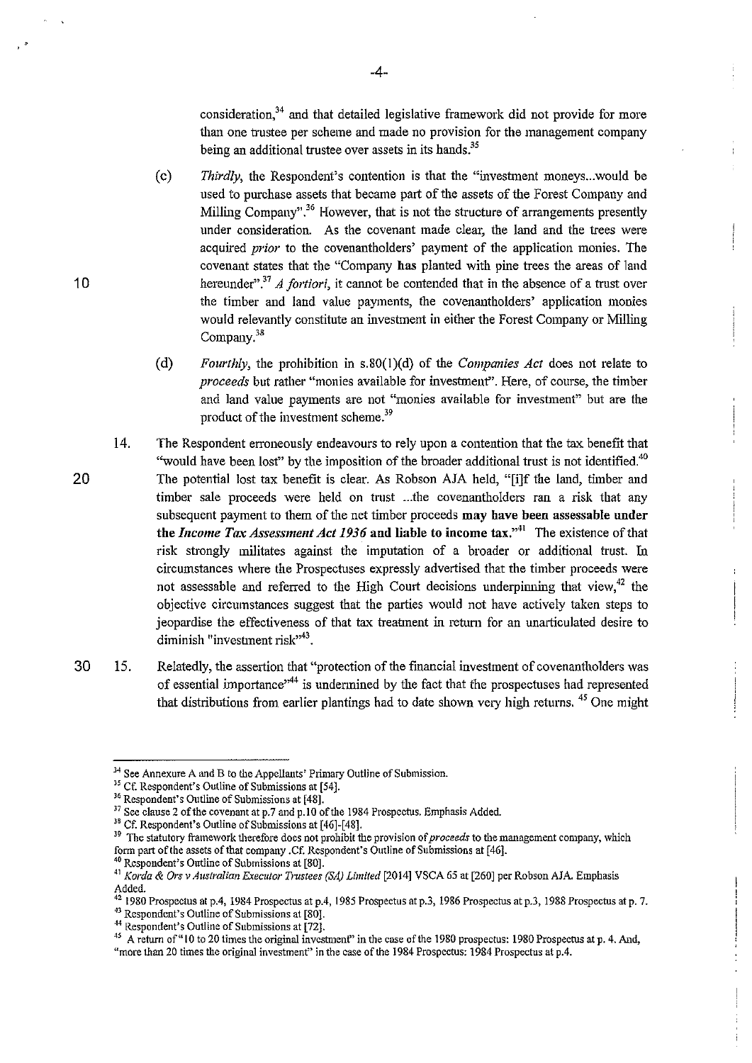consideration, $34$  and that detailed legislative framework did not provide for more than one trustee per scheme and made no provision for the management company being an additional trustee over assets in its hands.<sup>35</sup>

- (c) *Thirdly*, the Respondent's contention is that the "investment moneys...would be used to purchase assets that became part of the assets of the Forest Company and Milling Company".<sup>36</sup> However, that is not the structure of arrangements presently under consideration. As the covenant made clear, the land and the trees were acquired *prior* to the covenantholders' payment of the application monies. The covenant states that the "Company has planted with pine trees the areas of land hereunder".<sup>37</sup> A fortiori, it cannot be contended that in the absence of a trust over the timber and land value payments, the covenantholders' application monies would relevantly constitute an investment in either the Forest Company or Milling Company.<sup>38</sup>
- (d) *Fourthly, the prohibition in s.80(1)(d) of the <i>Companies Act* does not relate to *proceeds* but rather "monies available for investmenf'. Here, of course, the timber and land value payments are not "monies available for investment" but are the product of the investment scheme.<sup>39</sup>
- 14. The Respondent erroneously endeavours to rely upon a contention that the tax benefit that "would have been lost" by the imposition of the broader additional trust is not identified.<sup>40</sup> The potential lost tax benefit is clear. As Robson AJA held, "[i]f the land, timber and timber sale proceeds were held on trust ... the covenantholders ran a risk that any subsequent payment to them of the net timber proceeds may have been assessable under the *Income Tax Assessment Act 1936* and liable to income tax."<sup>41</sup> The existence of that risk strongly militates against the imputation of a broader or additional trust. In circumstances where the Prospectuses expressly advertised that the timber proceeds were not assessable and referred to the High Court decisions underpinning that view, $^{42}$  the objective circumstances suggest that the parties would not have actively taken steps to jeopardise the effectiveness of that tax treatment in return for an unarticulated desire to diminish "investment risk"<sup>43</sup>.
- 30 15. Relatedly, the assertion that "protection of the financial investment of covenantholders was of essential importance<sup>"44</sup> is undermined by the fact that the prospectuses had represented that distributions from earlier plantings had to date shown very high returns. 45 One might

<sup>36</sup> Respondent's Outline of Submissions at [48].<br><sup>37</sup> See clause 2 of the covenant at p.7 and p.10 of the 1984 Prospectus. Emphasis Added.<br><sup>37</sup> See clause 2 of the covenant at p.7 and p.10 of the 1984 Prospectus. Emphasi form part of the assets of that company .Cf. Respondent's Outline of Submissions at [46]. 40 **Respondent's Outline of Submissions at [80].** 

20

*<sup>34</sup>***See Annexure A and B to the Appellants' Primary Outline of Submission.** 

<sup>41</sup>*Korda* & *Ors v Australian Executor Trustees (SA) Limited* [2014] VSCA 65 at [260] per Robson AJA Emphasis Added.

 $^{42}$  1980 Prospectus at p.4, 1984 Prospectus at p.4, 1985 Prospectus at p.3, 1986 Prospectus at p.3, 1988 Prospectus at p.7. <sup>43</sup>**Respondent's Outline of Submissions at [80].** <sup>44</sup>**Respondent's Outline of Submissions at [72j.** 

<sup>&</sup>lt;sup>45</sup> A return of "10 to 20 times the original investment" in the case of the 1980 prospectus: 1980 Prospectus at p. 4. And, "more than 20 times the original investment" in the case of the 1984 Prospectus: 1984 Prospectus at p.4.